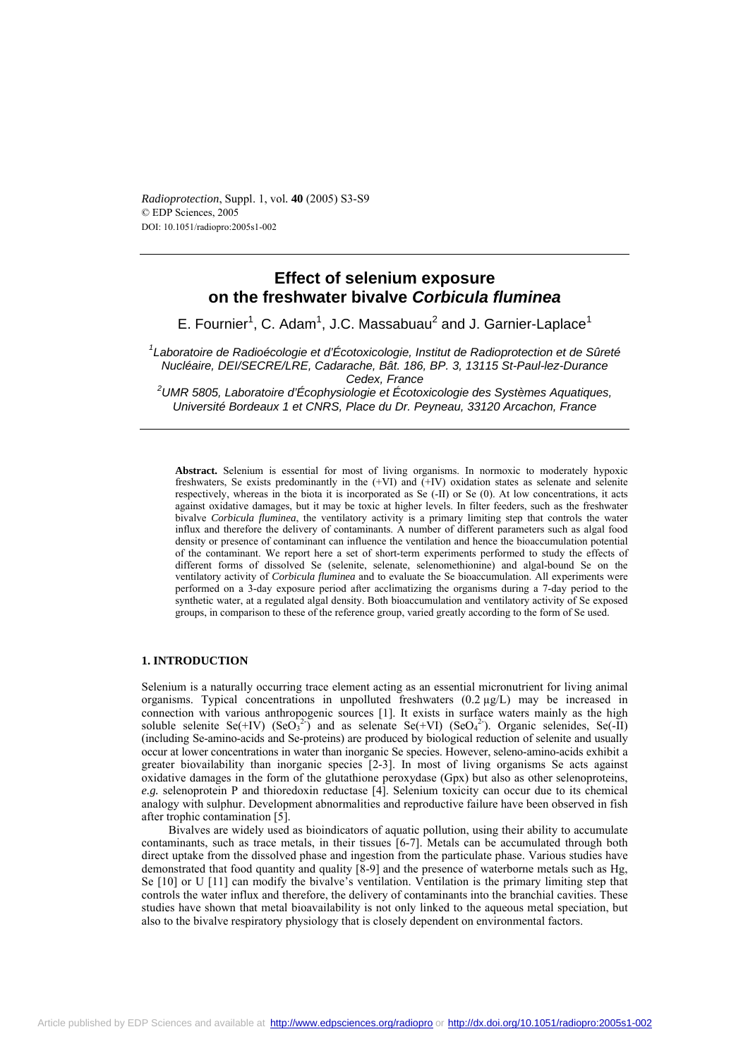*Radioprotection*, Suppl. 1, vol*.* **40** (2005) S3-S9 © EDP Sciences, 2005 DOI: 10.1051/radiopro:2005s1-002

# **Effect of selenium exposure on the freshwater bivalve** *Corbicula fluminea*

E. Fournier<sup>1</sup>, C. Adam<sup>1</sup>, J.C. Massabuau<sup>2</sup> and J. Garnier-Laplace<sup>1</sup>

*1 Laboratoire de Radioécologie et d'Écotoxicologie, Institut de Radioprotection et de Sûreté Nucléaire, DEI/SECRE/LRE, Cadarache, Bât. 186, BP. 3, 13115 St-Paul-lez-Durance* 

*Cedex, France 2 UMR 5805, Laboratoire d'Écophysiologie et Écotoxicologie des Systèmes Aquatiques, Université Bordeaux 1 et CNRS, Place du Dr. Peyneau, 33120 Arcachon, France* 

**Abstract.** Selenium is essential for most of living organisms. In normoxic to moderately hypoxic freshwaters, Se exists predominantly in the (+VI) and (+IV) oxidation states as selenate and selenite respectively, whereas in the biota it is incorporated as Se (-II) or Se (0). At low concentrations, it acts against oxidative damages, but it may be toxic at higher levels. In filter feeders, such as the freshwater bivalve *Corbicula fluminea*, the ventilatory activity is a primary limiting step that controls the water influx and therefore the delivery of contaminants. A number of different parameters such as algal food density or presence of contaminant can influence the ventilation and hence the bioaccumulation potential of the contaminant. We report here a set of short-term experiments performed to study the effects of different forms of dissolved Se (selenite, selenate, selenomethionine) and algal-bound Se on the ventilatory activity of *Corbicula fluminea* and to evaluate the Se bioaccumulation. All experiments were performed on a 3-day exposure period after acclimatizing the organisms during a 7-day period to the synthetic water, at a regulated algal density. Both bioaccumulation and ventilatory activity of Se exposed groups, in comparison to these of the reference group, varied greatly according to the form of Se used.

# **1. INTRODUCTION**

Selenium is a naturally occurring trace element acting as an essential micronutrient for living animal organisms. Typical concentrations in unpolluted freshwaters  $(0.2 \mu g/L)$  may be increased in connection with various anthropogenic sources [1]. It exists in surface waters mainly as the high soluble selenite Se(+IV)  $(SeO<sub>3</sub><sup>2</sup>)$  and as selenate Se(+VI)  $(SeO<sub>4</sub><sup>2</sup>)$ . Organic selenides, Se(-II) (including Se-amino-acids and Se-proteins) are produced by biological reduction of selenite and usually occur at lower concentrations in water than inorganic Se species. However, seleno-amino-acids exhibit a greater biovailability than inorganic species [2-3]. In most of living organisms Se acts against oxidative damages in the form of the glutathione peroxydase (Gpx) but also as other selenoproteins, *e.g.* selenoprotein P and thioredoxin reductase [4]. Selenium toxicity can occur due to its chemical analogy with sulphur. Development abnormalities and reproductive failure have been observed in fish after trophic contamination [5].

Bivalves are widely used as bioindicators of aquatic pollution, using their ability to accumulate contaminants, such as trace metals, in their tissues [6-7]. Metals can be accumulated through both direct uptake from the dissolved phase and ingestion from the particulate phase. Various studies have demonstrated that food quantity and quality [8-9] and the presence of waterborne metals such as Hg, Se [10] or U [11] can modify the bivalve's ventilation. Ventilation is the primary limiting step that controls the water influx and therefore, the delivery of contaminants into the branchial cavities. These studies have shown that metal bioavailability is not only linked to the aqueous metal speciation, but also to the bivalve respiratory physiology that is closely dependent on environmental factors.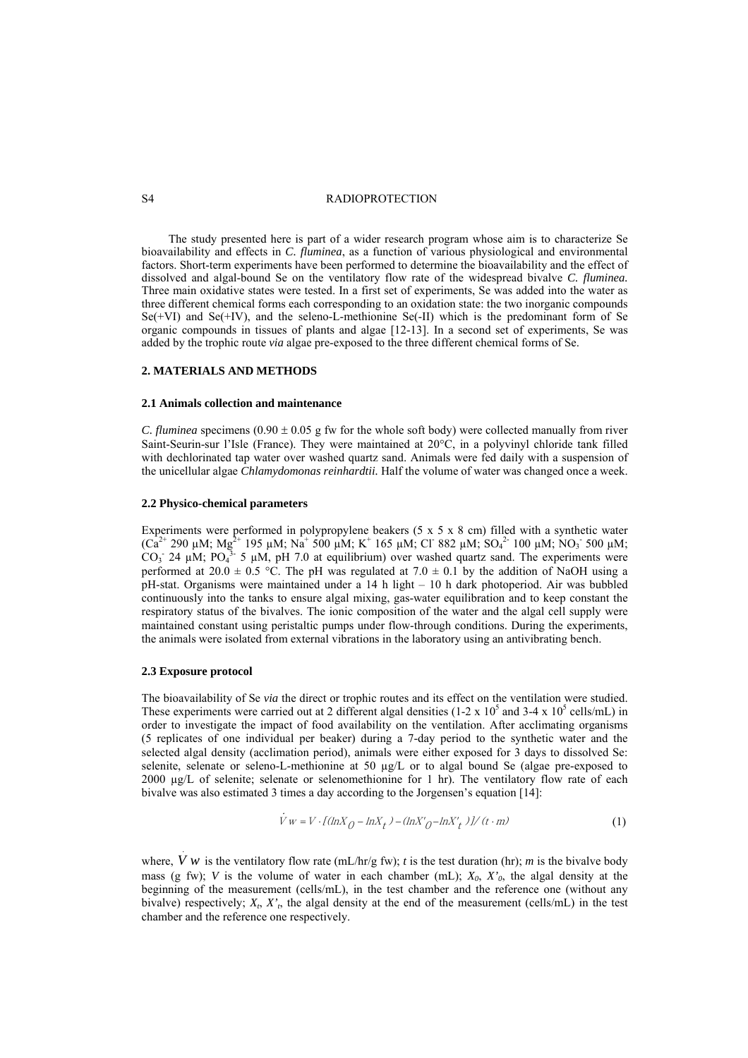# S4 RADIOPROTECTION

The study presented here is part of a wider research program whose aim is to characterize Se bioavailability and effects in *C. fluminea*, as a function of various physiological and environmental factors. Short-term experiments have been performed to determine the bioavailability and the effect of dissolved and algal-bound Se on the ventilatory flow rate of the widespread bivalve *C. fluminea.*  Three main oxidative states were tested. In a first set of experiments, Se was added into the water as three different chemical forms each corresponding to an oxidation state: the two inorganic compounds  $Se(+VI)$  and  $Se(+IV)$ , and the seleno-L-methionine  $Se(-II)$  which is the predominant form of Se organic compounds in tissues of plants and algae [12-13]. In a second set of experiments, Se was added by the trophic route *via* algae pre-exposed to the three different chemical forms of Se.

# **2. MATERIALS AND METHODS**

### **2.1 Animals collection and maintenance**

*C. fluminea* specimens  $(0.90 \pm 0.05 \text{ g}$  fw for the whole soft body) were collected manually from river Saint-Seurin-sur l'Isle (France). They were maintained at 20°C, in a polyvinyl chloride tank filled with dechlorinated tap water over washed quartz sand. Animals were fed daily with a suspension of the unicellular algae *Chlamydomonas reinhardtii.* Half the volume of water was changed once a week.

### **2.2 Physico-chemical parameters**

Experiments were performed in polypropylene beakers (5 x 5 x 8 cm) filled with a synthetic water  $(Ca^{2+} 290 \mu M; Mg^{2+} 195 \mu M; Na^{+} 500 \mu M; K^{+} 165 \mu M; Cl^{+} 882 \mu M; SO<sub>4</sub><sup>2-</sup> 100 \mu M; NO<sub>3</sub> 500 \mu M;$  $CO_3$  24  $\mu$ M; PO<sub>4</sub><sup>3</sup> 5  $\mu$ M, pH 7.0 at equilibrium) over washed quartz sand. The experiments were performed at 20.0  $\pm$  0.5 °C. The pH was regulated at 7.0  $\pm$  0.1 by the addition of NaOH using a pH-stat. Organisms were maintained under a 14 h light – 10 h dark photoperiod. Air was bubbled continuously into the tanks to ensure algal mixing, gas-water equilibration and to keep constant the respiratory status of the bivalves. The ionic composition of the water and the algal cell supply were maintained constant using peristaltic pumps under flow-through conditions. During the experiments, the animals were isolated from external vibrations in the laboratory using an antivibrating bench.

### **2.3 Exposure protocol**

The bioavailability of Se *via* the direct or trophic routes and its effect on the ventilation were studied. These experiments were carried out at 2 different algal densities  $(1-2 \times 10^5 \text{ and } 3-4 \times 10^5 \text{ cells/mL})$  in order to investigate the impact of food availability on the ventilation. After acclimating organisms (5 replicates of one individual per beaker) during a 7-day period to the synthetic water and the selected algal density (acclimation period), animals were either exposed for 3 days to dissolved Se: selenite, selenate or seleno-L-methionine at 50 µg/L or to algal bound Se (algae pre-exposed to 2000 µg/L of selenite; selenate or selenomethionine for 1 hr). The ventilatory flow rate of each bivalve was also estimated 3 times a day according to the Jorgensen's equation [14]:

$$
V w = V \cdot \left[ (\ln X_{0} - \ln X_{t}) - (\ln X_{0}^{\prime} - \ln X_{t}^{\prime}) \right] / (t \cdot m)
$$
\n
$$
\tag{1}
$$

where,  $V$   $w$  is the ventilatory flow rate (mL/hr/g fw); *t* is the test duration (hr); *m* is the bivalve body mass (g fw); *V* is the volume of water in each chamber (mL); *X0*, *X'0*, the algal density at the beginning of the measurement (cells/mL), in the test chamber and the reference one (without any bivalve) respectively;  $X_t$ ,  $X'_t$ , the algal density at the end of the measurement (cells/mL) in the test chamber and the reference one respectively.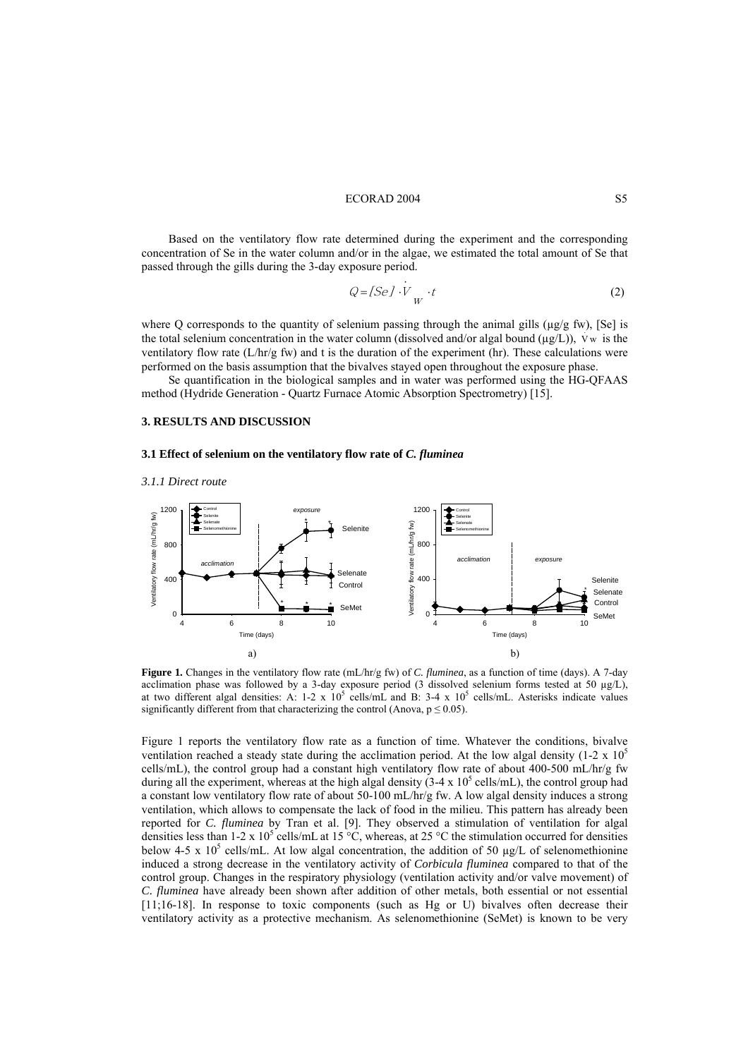# ECORAD 2004 S5

Based on the ventilatory flow rate determined during the experiment and the corresponding concentration of Se in the water column and/or in the algae, we estimated the total amount of Se that passed through the gills during the 3-day exposure period.

$$
Q = [Se] \cdot V \cdot t
$$
 (2)

where Q corresponds to the quantity of selenium passing through the animal gills ( $\mu$ g/g fw), [Se] is the total selenium concentration in the water column (dissolved and/or algal bound  $(\mu g/L)$ ), V w is the ventilatory flow rate  $(L/hr/g f w)$  and t is the duration of the experiment (hr). These calculations were performed on the basis assumption that the bivalves stayed open throughout the exposure phase.

Se quantification in the biological samples and in water was performed using the HG-QFAAS method (Hydride Generation - Quartz Furnace Atomic Absorption Spectrometry) [15].

# **3. RESULTS AND DISCUSSION**

#### **3.1 Effect of selenium on the ventilatory flow rate of** *C. fluminea*





**Figure 1.** Changes in the ventilatory flow rate (mL/hr/g fw) of *C. fluminea*, as a function of time (days). A 7-day acclimation phase was followed by a 3-day exposure period (3 dissolved selenium forms tested at 50 µg/L), at two different algal densities: A:  $1-2 \times 10^5$  cells/mL and B:  $3-4 \times 10^5$  cells/mL. Asterisks indicate values significantly different from that characterizing the control (Anova,  $p \le 0.05$ ).

Figure 1 reports the ventilatory flow rate as a function of time. Whatever the conditions, bivalve ventilation reached a steady state during the acclimation period. At the low algal density (1-2 x 10<sup>5</sup>) cells/mL), the control group had a constant high ventilatory flow rate of about 400-500 mL/hr/g fw during all the experiment, whereas at the high algal density  $(3-4 \times 10^5 \text{ cells/mL})$ , the control group had a constant low ventilatory flow rate of about 50-100 mL/hr/g fw. A low algal density induces a strong ventilation, which allows to compensate the lack of food in the milieu. This pattern has already been reported for *C. fluminea* by Tran et al. [9]. They observed a stimulation of ventilation for algal densities less than 1-2 x 10<sup>5</sup> cells/mL at 15<sup>o</sup>C, whereas, at 25<sup>o</sup>C the stimulation occurred for densities below 4-5 x 10<sup>5</sup> cells/mL. At low algal concentration, the addition of 50  $\mu$ g/L of selenomethionine induced a strong decrease in the ventilatory activity of *Corbicula fluminea* compared to that of the control group. Changes in the respiratory physiology (ventilation activity and/or valve movement) of *C. fluminea* have already been shown after addition of other metals, both essential or not essential [11;16-18]. In response to toxic components (such as Hg or U) bivalves often decrease their ventilatory activity as a protective mechanism. As selenomethionine (SeMet) is known to be very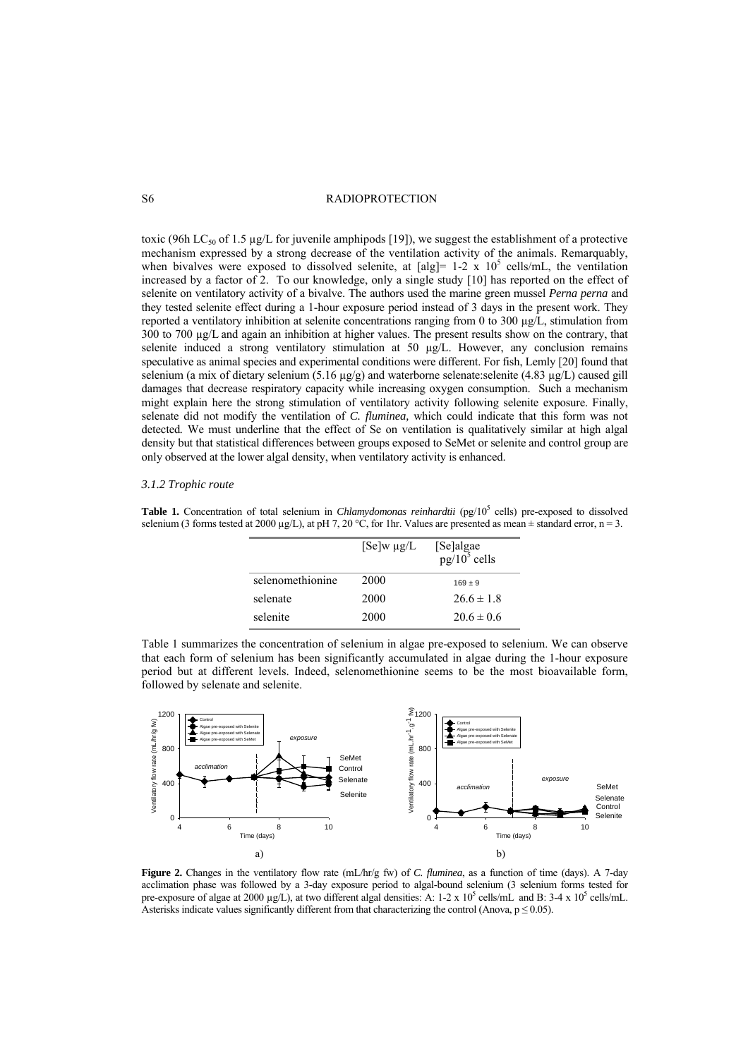# S6 RADIOPROTECTION

toxic (96h LC<sub>50</sub> of 1.5 µg/L for juvenile amphipods [19]), we suggest the establishment of a protective mechanism expressed by a strong decrease of the ventilation activity of the animals. Remarquably, when bivalves were exposed to dissolved selenite, at  $[a]g$  = 1-2 x 10<sup>5</sup> cells/mL, the ventilation increased by a factor of 2. To our knowledge, only a single study [10] has reported on the effect of selenite on ventilatory activity of a bivalve. The authors used the marine green mussel *Perna perna* and they tested selenite effect during a 1-hour exposure period instead of 3 days in the present work. They reported a ventilatory inhibition at selenite concentrations ranging from 0 to 300  $\mu$ g/L, stimulation from 300 to 700 µg/L and again an inhibition at higher values. The present results show on the contrary, that selenite induced a strong ventilatory stimulation at 50  $\mu$ g/L. However, any conclusion remains speculative as animal species and experimental conditions were different. For fish, Lemly [20] found that selenium (a mix of dietary selenium (5.16 µg/g) and waterborne selenate:selenite (4.83 µg/L) caused gill damages that decrease respiratory capacity while increasing oxygen consumption. Such a mechanism might explain here the strong stimulation of ventilatory activity following selenite exposure. Finally, selenate did not modify the ventilation of *C. fluminea,* which could indicate that this form was not detected*.* We must underline that the effect of Se on ventilation is qualitatively similar at high algal density but that statistical differences between groups exposed to SeMet or selenite and control group are only observed at the lower algal density, when ventilatory activity is enhanced.

#### *3.1.2 Trophic route*

**Table 1.** Concentration of total selenium in *Chlamydomonas reinhardtii* ( $pg/10^5$  cells) pre-exposed to dissolved selenium (3 forms tested at 2000 µg/L), at pH 7, 20 °C, for 1hr. Values are presented as mean  $\pm$  standard error, n = 3.

|                  | $[Se]$ w $\mu$ g/L | [Se]algae<br>pg/10 <sup>5</sup> cells |
|------------------|--------------------|---------------------------------------|
| selenomethionine | 2000               | $169 + 9$                             |
| selenate         | 2000               | $26.6 \pm 1.8$                        |
| selenite         | 2000               | $20.6 \pm 0.6$                        |

Table 1 summarizes the concentration of selenium in algae pre-exposed to selenium. We can observe that each form of selenium has been significantly accumulated in algae during the 1-hour exposure period but at different levels. Indeed, selenomethionine seems to be the most bioavailable form, followed by selenate and selenite.



**Figure 2.** Changes in the ventilatory flow rate (mL/hr/g fw) of *C. fluminea*, as a function of time (days). A 7-day acclimation phase was followed by a 3-day exposure period to algal-bound selenium (3 selenium forms tested for pre-exposure of algae at 2000  $\mu$ g/L), at two different algal densities: A: 1-2 x 10<sup>5</sup> cells/mL and B: 3-4 x 10<sup>5</sup> cells/mL. Asterisks indicate values significantly different from that characterizing the control (Anova,  $p \le 0.05$ ).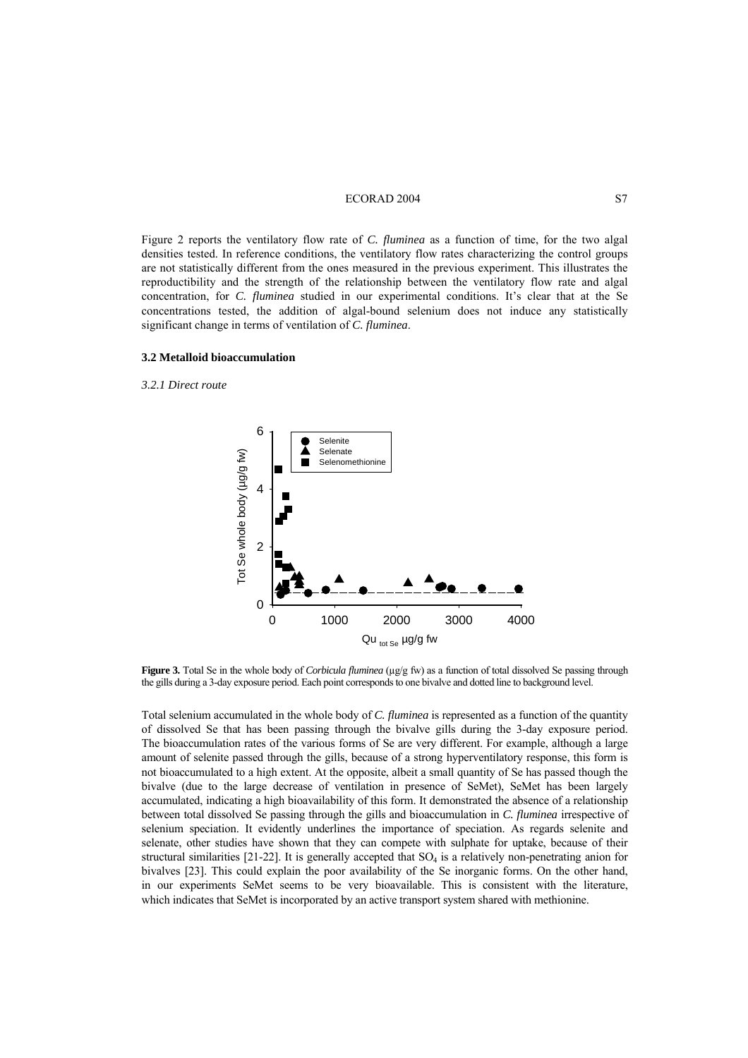# ECORAD 2004 S7

Figure 2 reports the ventilatory flow rate of *C. fluminea* as a function of time, for the two algal densities tested. In reference conditions, the ventilatory flow rates characterizing the control groups are not statistically different from the ones measured in the previous experiment. This illustrates the reproductibility and the strength of the relationship between the ventilatory flow rate and algal concentration, for *C. fluminea* studied in our experimental conditions. It's clear that at the Se concentrations tested, the addition of algal-bound selenium does not induce any statistically significant change in terms of ventilation of *C. fluminea*.

### **3.2 Metalloid bioaccumulation**

*3.2.1 Direct route* 



**Figure 3.** Total Se in the whole body of *Corbicula fluminea* (µg/g fw) as a function of total dissolved Se passing through the gills during a 3-day exposure period. Each point corresponds to one bivalve and dotted line to background level.

Total selenium accumulated in the whole body of *C. fluminea* is represented as a function of the quantity of dissolved Se that has been passing through the bivalve gills during the 3-day exposure period. The bioaccumulation rates of the various forms of Se are very different. For example, although a large amount of selenite passed through the gills, because of a strong hyperventilatory response, this form is not bioaccumulated to a high extent. At the opposite, albeit a small quantity of Se has passed though the bivalve (due to the large decrease of ventilation in presence of SeMet), SeMet has been largely accumulated, indicating a high bioavailability of this form. It demonstrated the absence of a relationship between total dissolved Se passing through the gills and bioaccumulation in *C. fluminea* irrespective of selenium speciation. It evidently underlines the importance of speciation. As regards selenite and selenate, other studies have shown that they can compete with sulphate for uptake, because of their structural similarities  $[21-22]$ . It is generally accepted that  $SO<sub>4</sub>$  is a relatively non-penetrating anion for bivalves [23]. This could explain the poor availability of the Se inorganic forms. On the other hand, in our experiments SeMet seems to be very bioavailable. This is consistent with the literature, which indicates that SeMet is incorporated by an active transport system shared with methionine.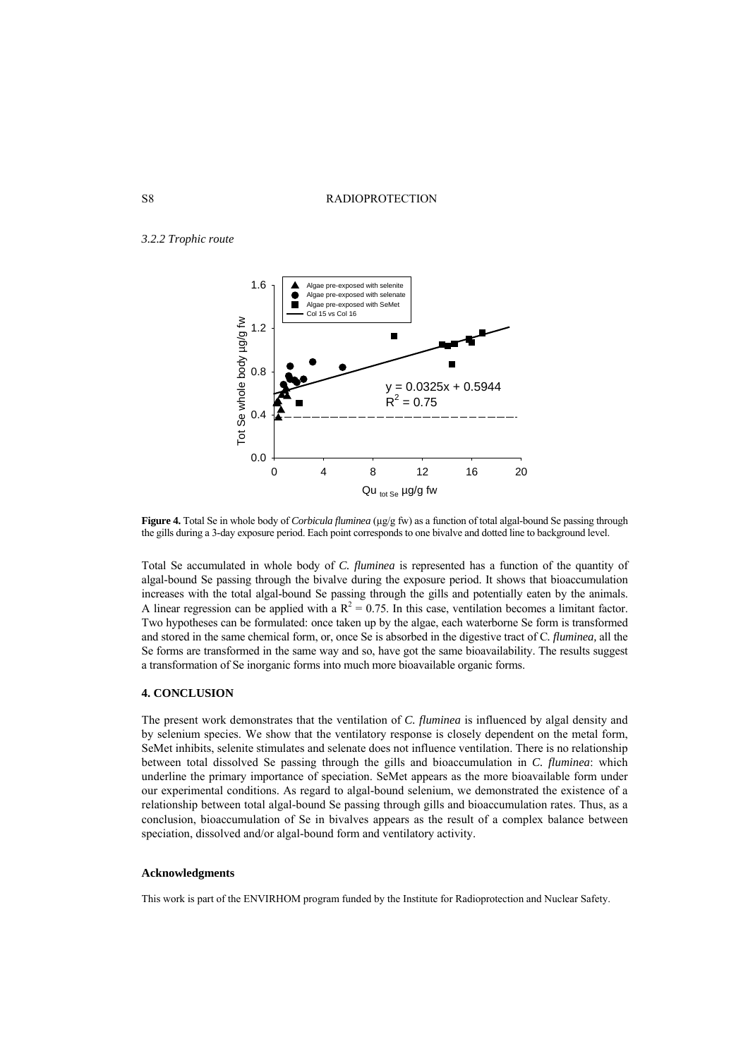# S8 RADIOPROTECTION

*3.2.2 Trophic route* 



**Figure 4.** Total Se in whole body of *Corbicula fluminea* ( $\mu$ g/g fw) as a function of total algal-bound Se passing through the gills during a 3-day exposure period. Each point corresponds to one bivalve and dotted line to background level.

Total Se accumulated in whole body of *C. fluminea* is represented has a function of the quantity of algal-bound Se passing through the bivalve during the exposure period. It shows that bioaccumulation increases with the total algal-bound Se passing through the gills and potentially eaten by the animals. A linear regression can be applied with a  $R^2 = 0.75$ . In this case, ventilation becomes a limitant factor. Two hypotheses can be formulated: once taken up by the algae, each waterborne Se form is transformed and stored in the same chemical form, or, once Se is absorbed in the digestive tract of C*. fluminea,* all the Se forms are transformed in the same way and so, have got the same bioavailability. The results suggest a transformation of Se inorganic forms into much more bioavailable organic forms.

# **4. CONCLUSION**

The present work demonstrates that the ventilation of *C. fluminea* is influenced by algal density and by selenium species. We show that the ventilatory response is closely dependent on the metal form, SeMet inhibits, selenite stimulates and selenate does not influence ventilation. There is no relationship between total dissolved Se passing through the gills and bioaccumulation in *C. fluminea*: which underline the primary importance of speciation. SeMet appears as the more bioavailable form under our experimental conditions. As regard to algal-bound selenium, we demonstrated the existence of a relationship between total algal-bound Se passing through gills and bioaccumulation rates. Thus, as a conclusion, bioaccumulation of Se in bivalves appears as the result of a complex balance between speciation, dissolved and/or algal-bound form and ventilatory activity.

## **Acknowledgments**

This work is part of the ENVIRHOM program funded by the Institute for Radioprotection and Nuclear Safety.